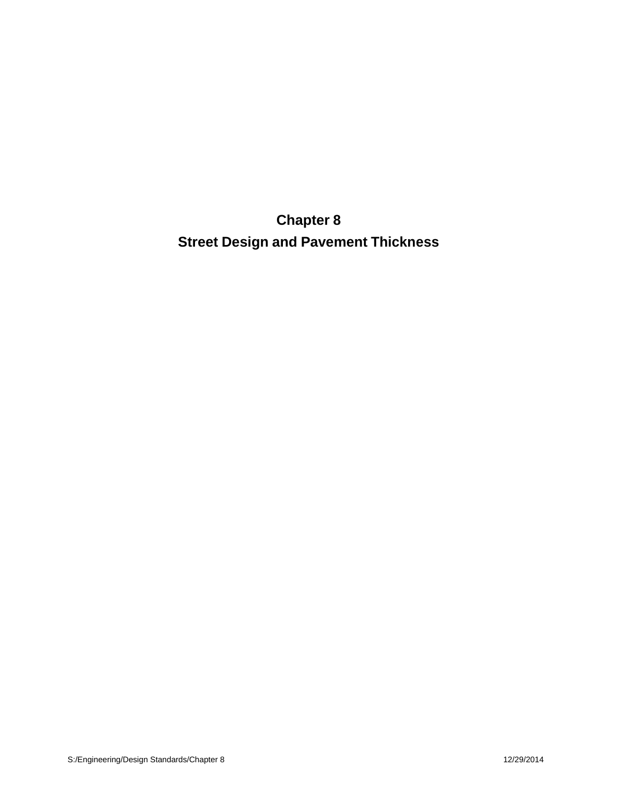**Chapter 8 Street Design and Pavement Thickness**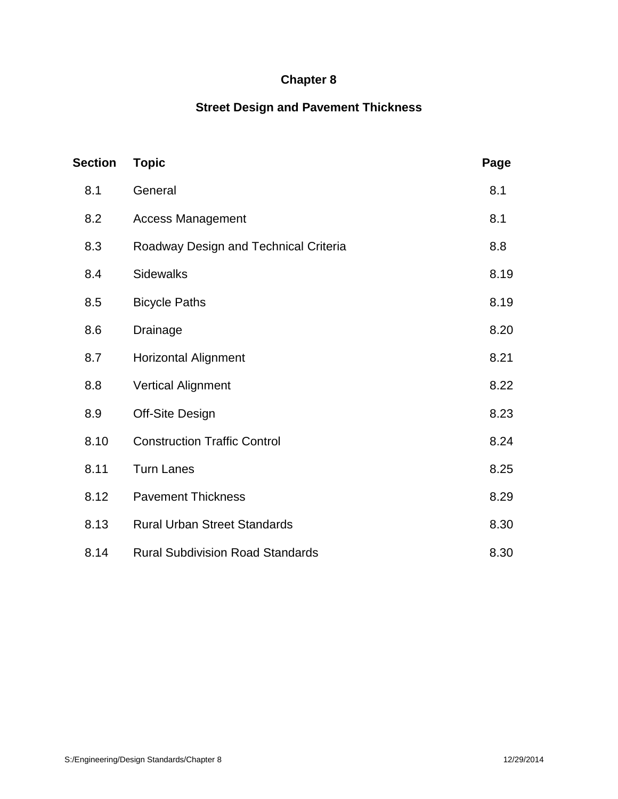# **Chapter 8**

# **Street Design and Pavement Thickness**

| <b>Section</b> | <b>Topic</b>                            | Page |
|----------------|-----------------------------------------|------|
| 8.1            | General                                 | 8.1  |
| 8.2            | <b>Access Management</b>                | 8.1  |
| 8.3            | Roadway Design and Technical Criteria   | 8.8  |
| 8.4            | <b>Sidewalks</b>                        | 8.19 |
| 8.5            | <b>Bicycle Paths</b>                    | 8.19 |
| 8.6            | Drainage                                | 8.20 |
| 8.7            | <b>Horizontal Alignment</b>             | 8.21 |
| 8.8            | <b>Vertical Alignment</b>               | 8.22 |
| 8.9            | Off-Site Design                         | 8.23 |
| 8.10           | <b>Construction Traffic Control</b>     | 8.24 |
| 8.11           | <b>Turn Lanes</b>                       | 8.25 |
| 8.12           | <b>Pavement Thickness</b>               | 8.29 |
| 8.13           | <b>Rural Urban Street Standards</b>     | 8.30 |
| 8.14           | <b>Rural Subdivision Road Standards</b> | 8.30 |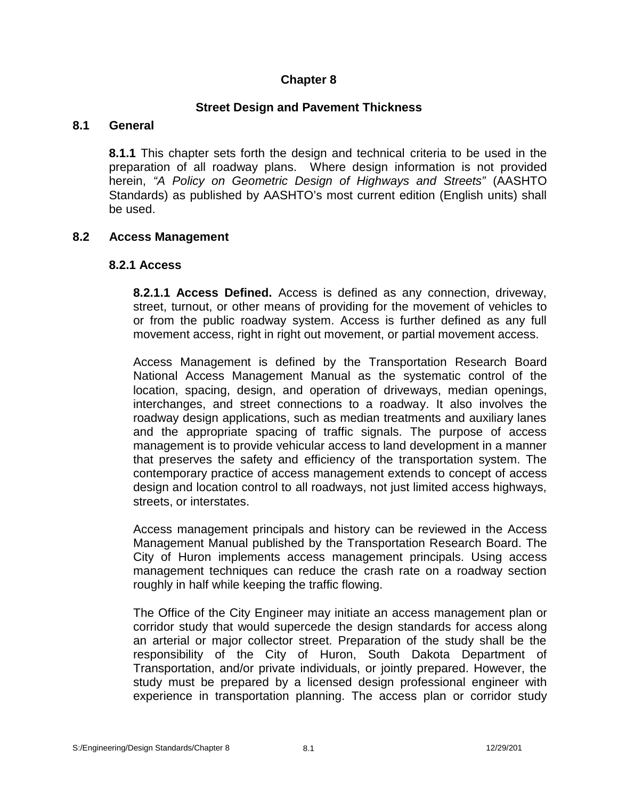# **Chapter 8**

# **Street Design and Pavement Thickness**

### **8.1 General**

**8.1.1** This chapter sets forth the design and technical criteria to be used in the preparation of all roadway plans. Where design information is not provided herein, *"A Policy on Geometric Design of Highways and Streets"* (AASHTO Standards) as published by AASHTO's most current edition (English units) shall be used.

# **8.2 Access Management**

### **8.2.1 Access**

**8.2.1.1 Access Defined.** Access is defined as any connection, driveway, street, turnout, or other means of providing for the movement of vehicles to or from the public roadway system. Access is further defined as any full movement access, right in right out movement, or partial movement access.

Access Management is defined by the Transportation Research Board National Access Management Manual as the systematic control of the location, spacing, design, and operation of driveways, median openings, interchanges, and street connections to a roadway. It also involves the roadway design applications, such as median treatments and auxiliary lanes and the appropriate spacing of traffic signals. The purpose of access management is to provide vehicular access to land development in a manner that preserves the safety and efficiency of the transportation system. The contemporary practice of access management extends to concept of access design and location control to all roadways, not just limited access highways, streets, or interstates.

Access management principals and history can be reviewed in the Access Management Manual published by the Transportation Research Board. The City of Huron implements access management principals. Using access management techniques can reduce the crash rate on a roadway section roughly in half while keeping the traffic flowing.

The Office of the City Engineer may initiate an access management plan or corridor study that would supercede the design standards for access along an arterial or major collector street. Preparation of the study shall be the responsibility of the City of Huron, South Dakota Department of Transportation, and/or private individuals, or jointly prepared. However, the study must be prepared by a licensed design professional engineer with experience in transportation planning. The access plan or corridor study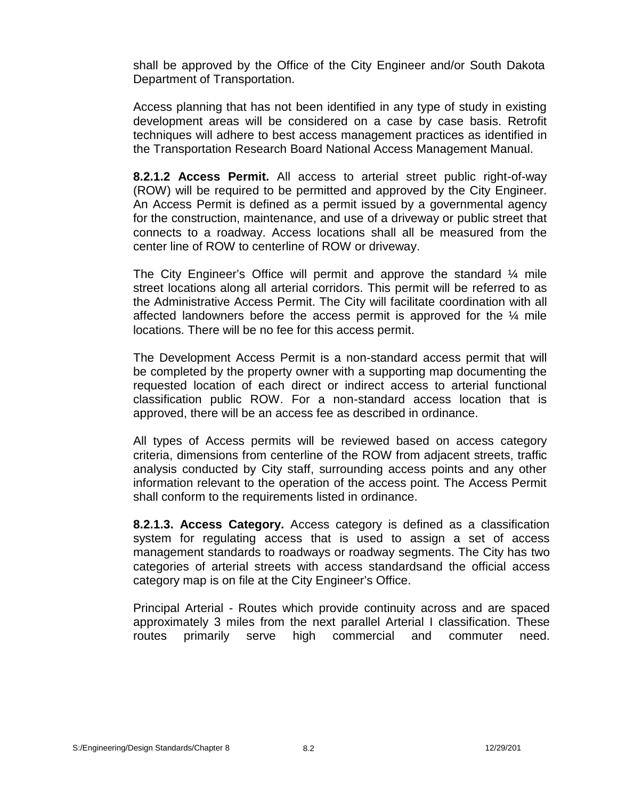shall be approved by the Office of the City Engineer and/or South Dakota Department of Transportation.

Access planning that has not been identified in any type of study in existing development areas will be considered on a case by case basis. Retrofit techniques will adhere to best access management practices as identified in the Transportation Research Board National Access Management Manual.

**8.2.1.2 Access Permit.** All access to arterial street public right-of-way (ROW) will be required to be permitted and approved by the City Engineer. An Access Permit is defined as a permit issued by a governmental agency for the construction, maintenance, and use of a driveway or public street that connects to a roadway. Access locations shall all be measured from the center line of ROW to centerline of ROW or driveway.

The City Engineer's Office will permit and approve the standard  $\frac{1}{4}$  mile street locations along all arterial corridors. This permit will be referred to as the Administrative Access Permit. The City will facilitate coordination with all affected landowners before the access permit is approved for the ¼ mile locations. There will be no fee for this access permit.

The Development Access Permit is a non-standard access permit that will be completed by the property owner with a supporting map documenting the requested location of each direct or indirect access to arterial functional classification public ROW. For a non-standard access location that is approved, there will be an access fee as described in ordinance.

All types of Access permits will be reviewed based on access category criteria, dimensions from centerline of the ROW from adjacent streets, traffic analysis conducted by City staff, surrounding access points and any other information relevant to the operation of the access point. The Access Permit shall conform to the requirements listed in ordinance.

**8.2.1.3. Access Category.** Access category is defined as a classification system for regulating access that is used to assign a set of access management standards to roadways or roadway segments. The City has two categories of arterial streets with access standardsand the official access category map is on file at the City Engineer's Office.

Principal Arterial - Routes which provide continuity across and are spaced approximately 3 miles from the next parallel Arterial I classification. These routes primarily serve high commercial and commuter need.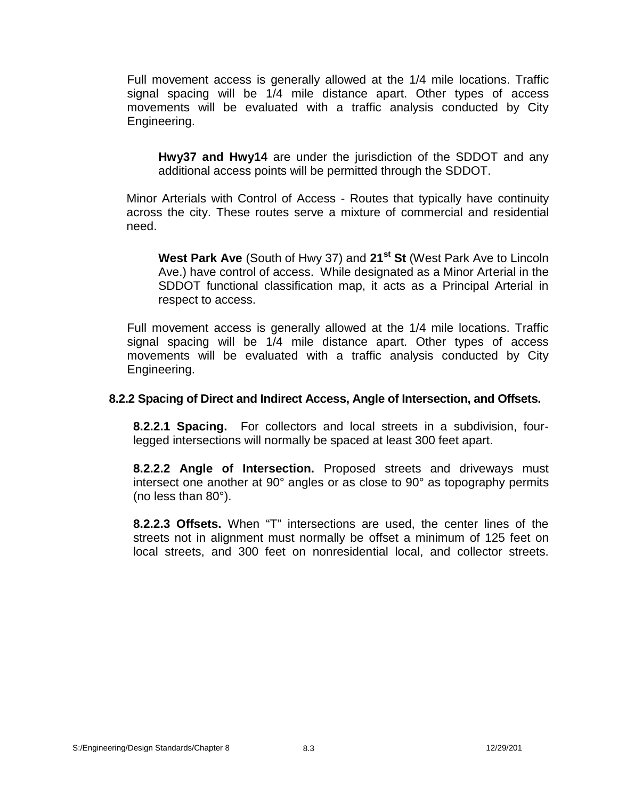Full movement access is generally allowed at the 1/4 mile locations. Traffic signal spacing will be 1/4 mile distance apart. Other types of access movements will be evaluated with a traffic analysis conducted by City Engineering.

**Hwy37 and Hwy14** are under the jurisdiction of the SDDOT and any additional access points will be permitted through the SDDOT.

Minor Arterials with Control of Access - Routes that typically have continuity across the city. These routes serve a mixture of commercial and residential need.

**West Park Ave** (South of Hwy 37) and **21st St** (West Park Ave to Lincoln Ave.) have control of access. While designated as a Minor Arterial in the SDDOT functional classification map, it acts as a Principal Arterial in respect to access.

Full movement access is generally allowed at the 1/4 mile locations. Traffic signal spacing will be 1/4 mile distance apart. Other types of access movements will be evaluated with a traffic analysis conducted by City Engineering.

### **8.2.2 Spacing of Direct and Indirect Access, Angle of Intersection, and Offsets.**

**8.2.2.1 Spacing.** For collectors and local streets in a subdivision, fourlegged intersections will normally be spaced at least 300 feet apart.

**8.2.2.2 Angle of Intersection.** Proposed streets and driveways must intersect one another at  $90^\circ$  angles or as close to  $90^\circ$  as topography permits (no less than 80°).

**8.2.2.3 Offsets.** When "T" intersections are used, the center lines of the streets not in alignment must normally be offset a minimum of 125 feet on local streets, and 300 feet on nonresidential local, and collector streets.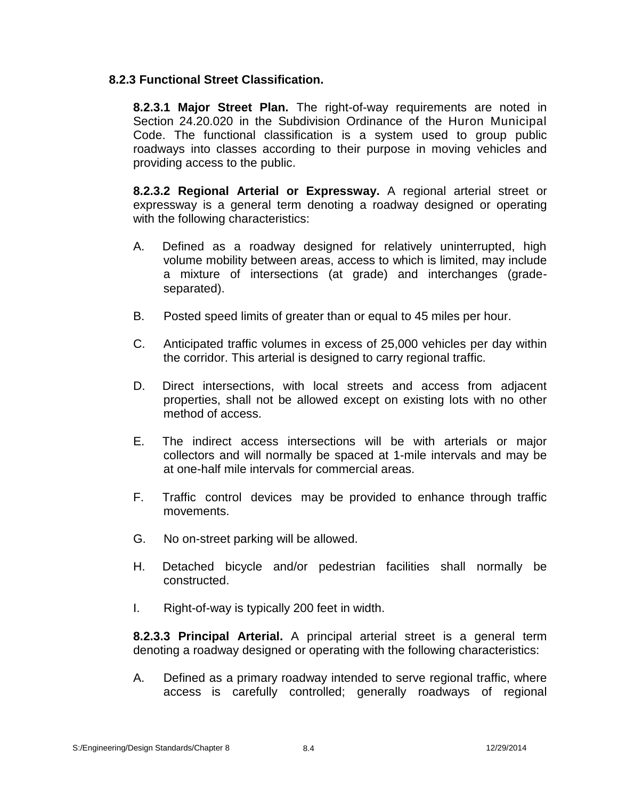## **8.2.3 Functional Street Classification.**

**8.2.3.1 Major Street Plan.** The right-of-way requirements are noted in Section 24.20.020 in the Subdivision Ordinance of the Huron Municipal Code. The functional classification is a system used to group public roadways into classes according to their purpose in moving vehicles and providing access to the public.

**8.2.3.2 Regional Arterial or Expressway.** A regional arterial street or expressway is a general term denoting a roadway designed or operating with the following characteristics:

- A. Defined as a roadway designed for relatively uninterrupted, high volume mobility between areas, access to which is limited, may include a mixture of intersections (at grade) and interchanges (grade separated).
- B. Posted speed limits of greater than or equal to 45 miles per hour.
- C. Anticipated traffic volumes in excess of 25,000 vehicles per day within the corridor. This arterial is designed to carry regional traffic.
- D. Direct intersections, with local streets and access from adjacent properties, shall not be allowed except on existing lots with no other method of access.
- E. The indirect access intersections will be with arterials or major collectors and will normally be spaced at 1-mile intervals and may be at one-half mile intervals for commercial areas.
- F. Traffic control devices may be provided to enhance through traffic movements.
- G. No on-street parking will be allowed.
- H. Detached bicycle and/or pedestrian facilities shall normally be constructed.
- I. Right-of-way is typically 200 feet in width.

**8.2.3.3 Principal Arterial.** A principal arterial street is a general term denoting a roadway designed or operating with the following characteristics:

A. Defined as a primary roadway intended to serve regional traffic, where access is carefully controlled; generally roadways of regional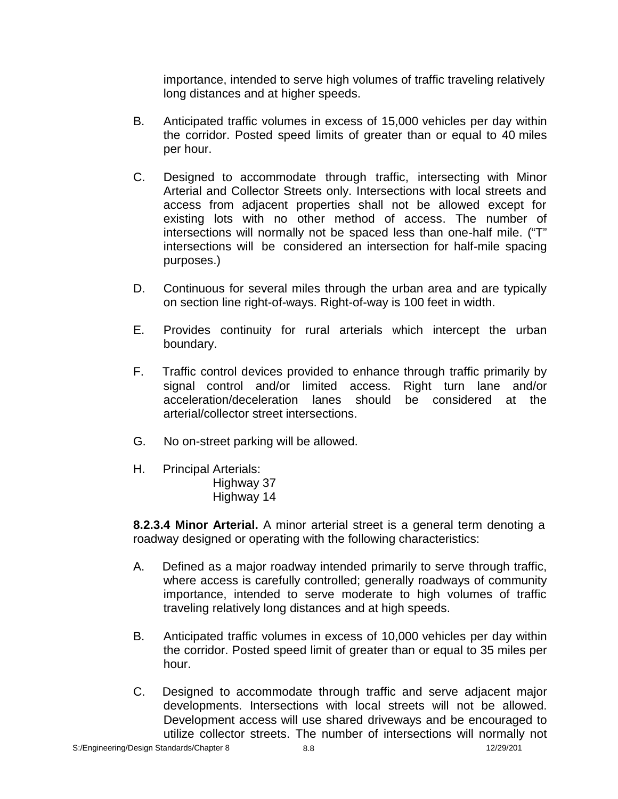importance, intended to serve high volumes of traffic traveling relatively long distances and at higher speeds.

- B. Anticipated traffic volumes in excess of 15,000 vehicles per day within the corridor. Posted speed limits of greater than or equal to 40 miles per hour.
- C. Designed to accommodate through traffic, intersecting with Minor Arterial and Collector Streets only. Intersections with local streets and access from adjacent properties shall not be allowed except for existing lots with no other method of access. The number of intersections will normally not be spaced less than one-half mile. ("T" intersections will be considered an intersection for half-mile spacing purposes.)
- D. Continuous for several miles through the urban area and are typically on section line right-of-ways. Right-of-way is 100 feet in width.
- E. Provides continuity for rural arterials which intercept the urban boundary.
- F. Traffic control devices provided to enhance through traffic primarily by signal control and/or limited access. Right turn lane and/or acceleration/deceleration lanes should be considered at the arterial/collector street intersections.
- G. No on-street parking will be allowed.
- H. Principal Arterials:
	- Highway 37 Highway 14

**8.2.3.4 Minor Arterial.** A minor arterial street is a general term denoting a roadway designed or operating with the following characteristics:

- A. Defined as a major roadway intended primarily to serve through traffic, where access is carefully controlled; generally roadways of community importance, intended to serve moderate to high volumes of traffic traveling relatively long distances and at high speeds.
- B. Anticipated traffic volumes in excess of 10,000 vehicles per day within the corridor. Posted speed limit of greater than or equal to 35 miles per hour.
- C. Designed to accommodate through traffic and serve adjacent major developments. Intersections with local streets will not be allowed. Development access will use shared driveways and be encouraged to utilize collector streets. The number of intersections will normally not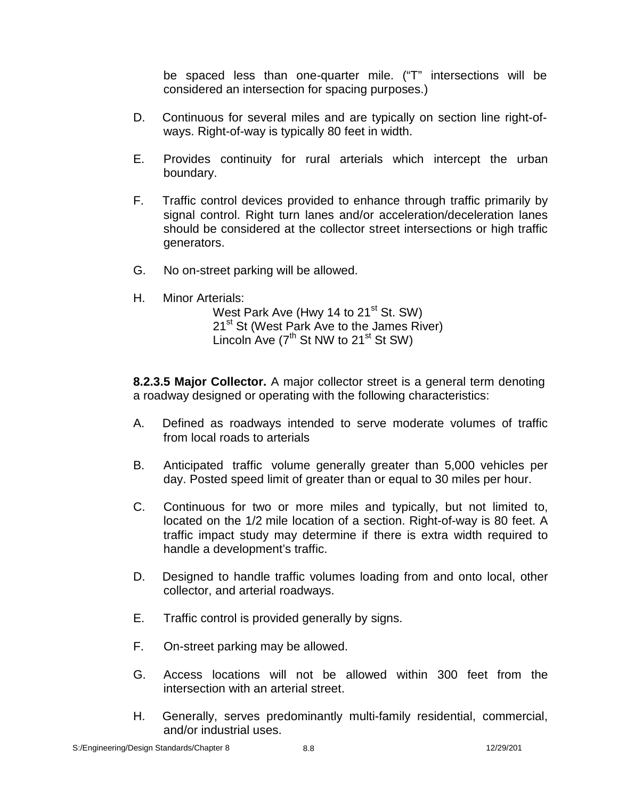be spaced less than one-quarter mile. ("T" intersections will be considered an intersection for spacing purposes.)

- D. Continuous for several miles and are typically on section line right-of ways. Right-of-way is typically 80 feet in width.
- E. Provides continuity for rural arterials which intercept the urban boundary.
- F. Traffic control devices provided to enhance through traffic primarily by signal control. Right turn lanes and/or acceleration/deceleration lanes should be considered at the collector street intersections or high traffic generators.
- G. No on-street parking will be allowed.
- H. Minor Arterials:

West Park Ave (Hwy 14 to 21<sup>st</sup> St. SW) 21<sup>st</sup> St (West Park Ave to the James River) Lincoln Ave (7<sup>th</sup> St NW to 21<sup>st</sup> St SW)

**8.2.3.5 Major Collector.** A major collector street is a general term denoting a roadway designed or operating with the following characteristics:

- A. Defined as roadways intended to serve moderate volumes of traffic from local roads to arterials
- B. Anticipated traffic volume generally greater than 5,000 vehicles per day. Posted speed limit of greater than or equal to 30 miles per hour.
- C. Continuous for two or more miles and typically, but not limited to, located on the 1/2 mile location of a section. Right-of-way is 80 feet. A traffic impact study may determine if there is extra width required to handle a development's traffic.
- D. Designed to handle traffic volumes loading from and onto local, other collector, and arterial roadways.
- E. Traffic control is provided generally by signs.
- F. On-street parking may be allowed.
- G. Access locations will not be allowed within 300 feet from the intersection with an arterial street.
- H. Generally, serves predominantly multi-family residential, commercial, and/or industrial uses.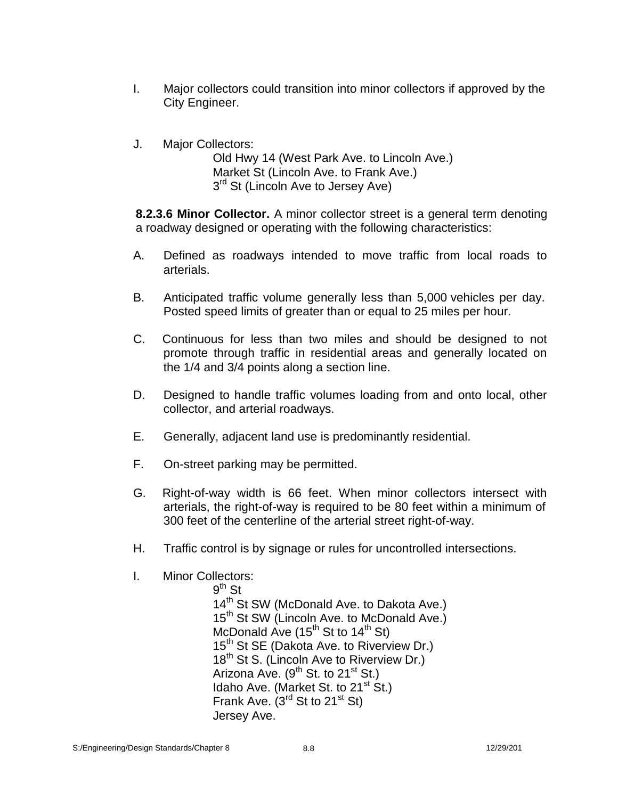- I. Major collectors could transition into minor collectors if approved by the City Engineer.
- J. Major Collectors:

Old Hwy 14 (West Park Ave. to Lincoln Ave.) Market St (Lincoln Ave. to Frank Ave.) 3<sup>rd</sup> St (Lincoln Ave to Jersey Ave)

**8.2.3.6 Minor Collector.** A minor collector street is a general term denoting a roadway designed or operating with the following characteristics:

- A. Defined as roadways intended to move traffic from local roads to arterials.
- B. Anticipated traffic volume generally less than 5,000 vehicles per day. Posted speed limits of greater than or equal to 25 miles per hour.
- C. Continuous for less than two miles and should be designed to not promote through traffic in residential areas and generally located on the 1/4 and 3/4 points along a section line.
- D. Designed to handle traffic volumes loading from and onto local, other collector, and arterial roadways.
- E. Generally, adjacent land use is predominantly residential.
- F. On-street parking may be permitted.
- G. Right-of-way width is 66 feet. When minor collectors intersect with arterials, the right-of-way is required to be 80 feet within a minimum of 300 feet of the centerline of the arterial street right-of-way.
- H. Traffic control is by signage or rules for uncontrolled intersections.
- I. Minor Collectors:

 $9^{\text{th}}$  St 14<sup>th</sup> St SW (McDonald Ave. to Dakota Ave.) 15<sup>th</sup> St SW (Lincoln Ave. to McDonald Ave.) McDonald Ave  $(15^{th}$  St to  $14^{th}$  St) 15<sup>th</sup> St SE (Dakota Ave. to Riverview Dr.) 18<sup>th</sup> St S. (Lincoln Ave to Riverview Dr.) Arizona Ave.  $(9^{th}$  St. to 21<sup>st</sup> St.) Idaho Ave. (Market St. to  $21<sup>st</sup>$  St.) Frank Ave.  $(3^{rd}$  St to 21<sup>st</sup> St) Jersey Ave.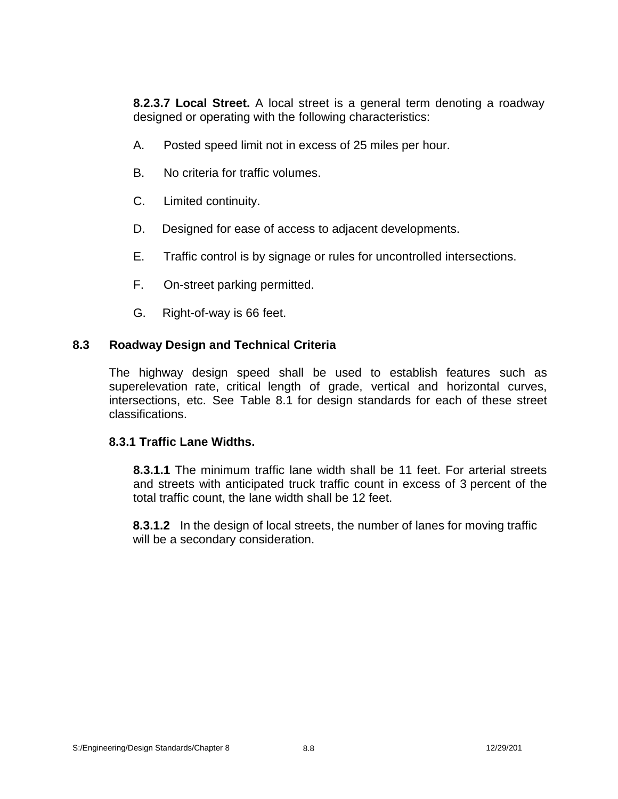**8.2.3.7 Local Street.** A local street is a general term denoting a roadway designed or operating with the following characteristics:

- A. Posted speed limit not in excess of 25 miles per hour.
- B. No criteria for traffic volumes.
- C. Limited continuity.
- D. Designed for ease of access to adjacent developments.
- E. Traffic control is by signage or rules for uncontrolled intersections.
- F. On-street parking permitted.
- G. Right-of-way is 66 feet.

### **8.3 Roadway Design and Technical Criteria**

The highway design speed shall be used to establish features such as superelevation rate, critical length of grade, vertical and horizontal curves, intersections, etc. See Table 8.1 for design standards for each of these street classifications.

#### **8.3.1 Traffic Lane Widths.**

**8.3.1.1** The minimum traffic lane width shall be 11 feet. For arterial streets and streets with anticipated truck traffic count in excess of 3 percent of the total traffic count, the lane width shall be 12 feet.

**8.3.1.2** In the design of local streets, the number of lanes for moving traffic will be a secondary consideration.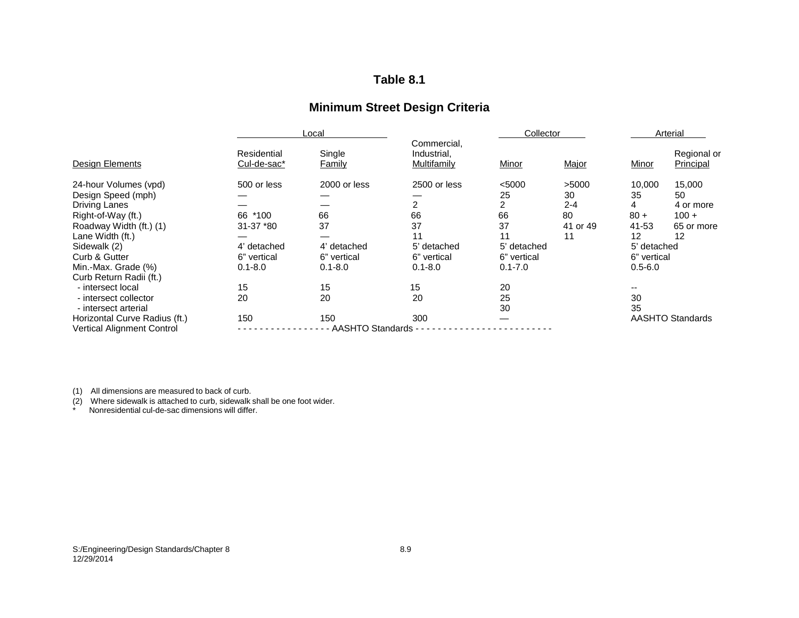# **Table 8.1**

# **Minimum Street Design Criteria**

|                                   |                            | Local                   |                                           |             | Collector<br>Arterial |              |                          |
|-----------------------------------|----------------------------|-------------------------|-------------------------------------------|-------------|-----------------------|--------------|--------------------------|
| <b>Design Elements</b>            | Residential<br>Cul-de-sac* | Single<br><b>Family</b> | Commercial,<br>Industrial,<br>Multifamily | Minor       | Major                 | <b>Minor</b> | Regional or<br>Principal |
| 24-hour Volumes (vpd)             | 500 or less                | 2000 or less            | 2500 or less                              | < 5000      | >5000                 | 10,000       | 15,000                   |
| Design Speed (mph)                |                            |                         |                                           | 25          | 30                    | 35           | 50                       |
| <b>Driving Lanes</b>              |                            |                         | 2                                         | 2           | $2 - 4$               | 4            | 4 or more                |
| Right-of-Way (ft.)                | 66<br>$*100$               | 66                      | 66                                        | 66          | 80                    | $80 +$       | $100 +$                  |
| Roadway Width (ft.) (1)           | 31-37 *80                  | 37                      | 37                                        | 37          | 41 or 49              | 41-53        | 65 or more               |
| Lane Width (ft.)                  |                            |                         | 11                                        | 11          | 11                    | 12           | 12                       |
| Sidewalk (2)                      | 4' detached                | 4' detached             | 5' detached                               | 5' detached |                       | 5' detached  |                          |
| Curb & Gutter                     | 6" vertical                | 6" vertical             | 6" vertical                               | 6" vertical |                       | 6" vertical  |                          |
| Min.-Max. Grade (%)               | $0.1 - 8.0$                | $0.1 - 8.0$             | $0.1 - 8.0$                               | $0.1 - 7.0$ |                       | $0.5 - 6.0$  |                          |
| Curb Return Radii (ft.)           |                            |                         |                                           |             |                       |              |                          |
| - intersect local                 | 15                         | 15                      | 15                                        | 20          |                       |              |                          |
| - intersect collector             | 20                         | 20                      | 20                                        | 25          |                       | 30           |                          |
| - intersect arterial              |                            |                         |                                           | 30          |                       | 35           |                          |
| Horizontal Curve Radius (ft.)     | 150                        | 150                     | 300                                       |             |                       |              | <b>AASHTO Standards</b>  |
| <b>Vertical Alignment Control</b> |                            | <b>AASHTO Standards</b> |                                           |             |                       |              |                          |

(1) All dimensions are measured to back of curb.

(2) Where sidewalk is attached to curb, sidewalk shall be one foot wider. \* Nonresidential cul-de-sac dimensions will differ.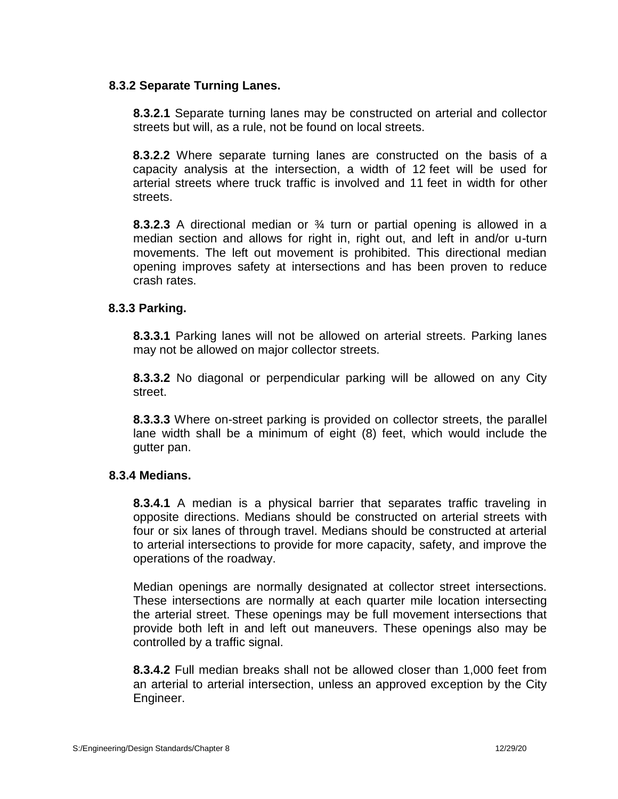## **8.3.2 Separate Turning Lanes.**

**8.3.2.1** Separate turning lanes may be constructed on arterial and collector streets but will, as a rule, not be found on local streets.

**8.3.2.2** Where separate turning lanes are constructed on the basis of a capacity analysis at the intersection, a width of 12 feet will be used for arterial streets where truck traffic is involved and 11 feet in width for other streets.

**8.3.2.3** A directional median or ¾ turn or partial opening is allowed in a median section and allows for right in, right out, and left in and/or u-turn movements. The left out movement is prohibited. This directional median opening improves safety at intersections and has been proven to reduce crash rates.

### **8.3.3 Parking.**

**8.3.3.1** Parking lanes will not be allowed on arterial streets. Parking lanes may not be allowed on major collector streets.

**8.3.3.2** No diagonal or perpendicular parking will be allowed on any City street.

**8.3.3.3** Where on-street parking is provided on collector streets, the parallel lane width shall be a minimum of eight (8) feet, which would include the gutter pan.

#### **8.3.4 Medians.**

**8.3.4.1** A median is a physical barrier that separates traffic traveling in opposite directions. Medians should be constructed on arterial streets with four or six lanes of through travel. Medians should be constructed at arterial to arterial intersections to provide for more capacity, safety, and improve the operations of the roadway.

Median openings are normally designated at collector street intersections. These intersections are normally at each quarter mile location intersecting the arterial street. These openings may be full movement intersections that provide both left in and left out maneuvers. These openings also may be controlled by a traffic signal.

**8.3.4.2** Full median breaks shall not be allowed closer than 1,000 feet from an arterial to arterial intersection, unless an approved exception by the City Engineer.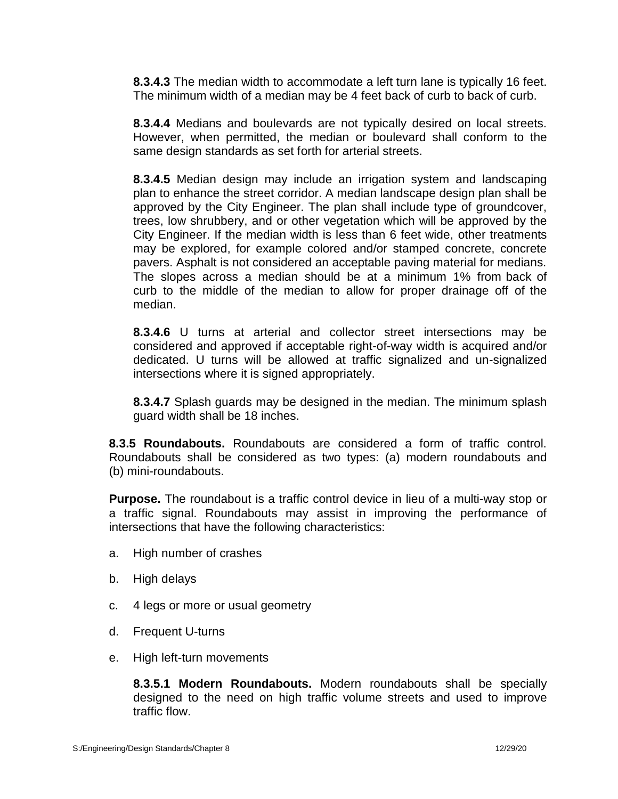**8.3.4.3** The median width to accommodate a left turn lane is typically 16 feet. The minimum width of a median may be 4 feet back of curb to back of curb.

**8.3.4.4** Medians and boulevards are not typically desired on local streets. However, when permitted, the median or boulevard shall conform to the same design standards as set forth for arterial streets.

**8.3.4.5** Median design may include an irrigation system and landscaping plan to enhance the street corridor. A median landscape design plan shall be approved by the City Engineer. The plan shall include type of groundcover, trees, low shrubbery, and or other vegetation which will be approved by the City Engineer. If the median width is less than 6 feet wide, other treatments may be explored, for example colored and/or stamped concrete, concrete pavers. Asphalt is not considered an acceptable paving material for medians. The slopes across a median should be at a minimum 1% from back of curb to the middle of the median to allow for proper drainage off of the median.

**8.3.4.6** U turns at arterial and collector street intersections may be considered and approved if acceptable right-of-way width is acquired and/or dedicated. U turns will be allowed at traffic signalized and un-signalized intersections where it is signed appropriately.

**8.3.4.7** Splash guards may be designed in the median. The minimum splash guard width shall be 18 inches.

**8.3.5 Roundabouts.** Roundabouts are considered a form of traffic control. Roundabouts shall be considered as two types: (a) modern roundabouts and (b) mini-roundabouts.

**Purpose.** The roundabout is a traffic control device in lieu of a multi-way stop or a traffic signal. Roundabouts may assist in improving the performance of intersections that have the following characteristics:

- a. High number of crashes
- b. High delays
- c. 4 legs or more or usual geometry
- d. Frequent U-turns
- e. High left-turn movements

**8.3.5.1 Modern Roundabouts.** Modern roundabouts shall be specially designed to the need on high traffic volume streets and used to improve traffic flow.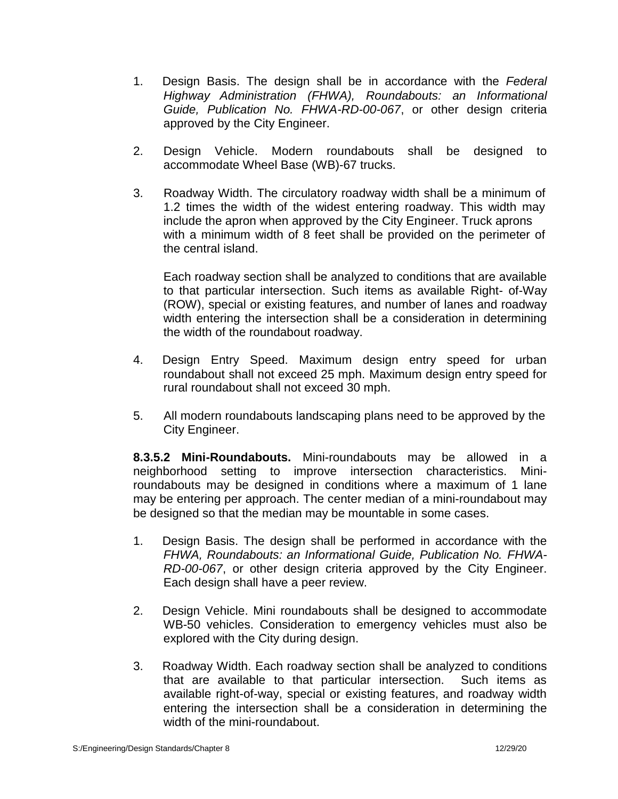- 1. Design Basis. The design shall be in accordance with the *Federal Highway Administration (FHWA), Roundabouts: an Informational Guide, Publication No. FHWA-RD-00-067*, or other design criteria approved by the City Engineer.
- 2. Design Vehicle. Modern roundabouts shall be designed to accommodate Wheel Base (WB)-67 trucks.
- 3. Roadway Width. The circulatory roadway width shall be a minimum of 1.2 times the width of the widest entering roadway. This width may include the apron when approved by the City Engineer. Truck aprons with a minimum width of 8 feet shall be provided on the perimeter of the central island.

Each roadway section shall be analyzed to conditions that are available to that particular intersection. Such items as available Right- of-Way (ROW), special or existing features, and number of lanes and roadway width entering the intersection shall be a consideration in determining the width of the roundabout roadway.

- 4. Design Entry Speed. Maximum design entry speed for urban roundabout shall not exceed 25 mph. Maximum design entry speed for rural roundabout shall not exceed 30 mph.
- 5. All modern roundabouts landscaping plans need to be approved by the City Engineer.

**8.3.5.2 Mini-Roundabouts.** Mini-roundabouts may be allowed in a neighborhood setting to improve intersection characteristics. Miniroundabouts may be designed in conditions where a maximum of 1 lane may be entering per approach. The center median of a mini-roundabout may be designed so that the median may be mountable in some cases.

- 1. Design Basis. The design shall be performed in accordance with the *FHWA, Roundabouts: an Informational Guide, Publication No. FHWA- RD-00-067*, or other design criteria approved by the City Engineer. Each design shall have a peer review.
- 2. Design Vehicle. Mini roundabouts shall be designed to accommodate WB-50 vehicles. Consideration to emergency vehicles must also be explored with the City during design.
- 3. Roadway Width. Each roadway section shall be analyzed to conditions that are available to that particular intersection. Such items as available right-of-way, special or existing features, and roadway width entering the intersection shall be a consideration in determining the width of the mini-roundabout.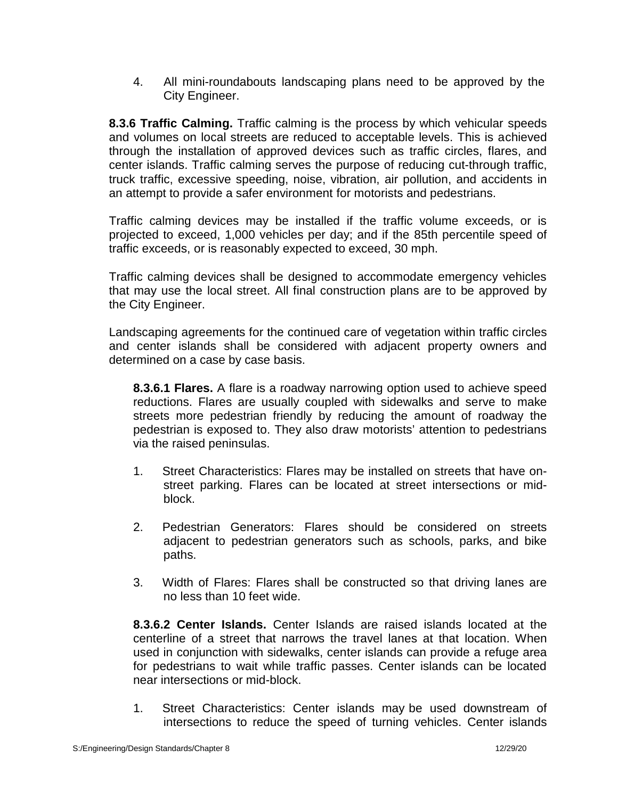4. All mini-roundabouts landscaping plans need to be approved by the City Engineer.

**8.3.6 Traffic Calming.** Traffic calming is the process by which vehicular speeds and volumes on local streets are reduced to acceptable levels. This is achieved through the installation of approved devices such as traffic circles, flares, and center islands. Traffic calming serves the purpose of reducing cut-through traffic, truck traffic, excessive speeding, noise, vibration, air pollution, and accidents in an attempt to provide a safer environment for motorists and pedestrians.

Traffic calming devices may be installed if the traffic volume exceeds, or is projected to exceed, 1,000 vehicles per day; and if the 85th percentile speed of traffic exceeds, or is reasonably expected to exceed, 30 mph.

Traffic calming devices shall be designed to accommodate emergency vehicles that may use the local street. All final construction plans are to be approved by the City Engineer.

Landscaping agreements for the continued care of vegetation within traffic circles and center islands shall be considered with adjacent property owners and determined on a case by case basis.

**8.3.6.1 Flares.** A flare is a roadway narrowing option used to achieve speed reductions. Flares are usually coupled with sidewalks and serve to make streets more pedestrian friendly by reducing the amount of roadway the pedestrian is exposed to. They also draw motorists' attention to pedestrians via the raised peninsulas.

- 1. Street Characteristics: Flares may be installed on streets that have on street parking. Flares can be located at street intersections or mid block.
- 2. Pedestrian Generators: Flares should be considered on streets adjacent to pedestrian generators such as schools, parks, and bike paths.
- 3. Width of Flares: Flares shall be constructed so that driving lanes are no less than 10 feet wide.

**8.3.6.2 Center Islands.** Center Islands are raised islands located at the centerline of a street that narrows the travel lanes at that location. When used in conjunction with sidewalks, center islands can provide a refuge area for pedestrians to wait while traffic passes. Center islands can be located near intersections or mid-block.

1. Street Characteristics: Center islands may be used downstream of intersections to reduce the speed of turning vehicles. Center islands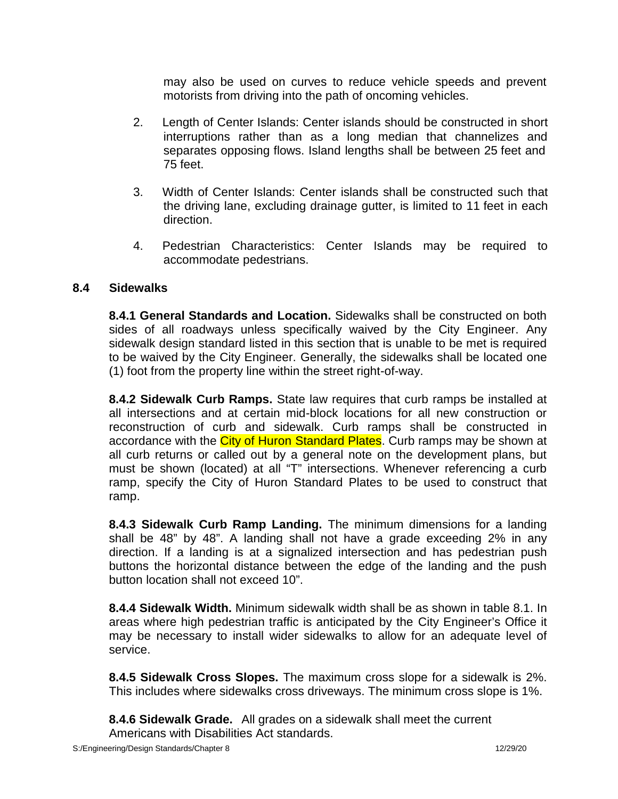may also be used on curves to reduce vehicle speeds and prevent motorists from driving into the path of oncoming vehicles.

- 2. Length of Center Islands: Center islands should be constructed in short interruptions rather than as a long median that channelizes and separates opposing flows. Island lengths shall be between 25 feet and 75 feet.
- 3. Width of Center Islands: Center islands shall be constructed such that the driving lane, excluding drainage gutter, is limited to 11 feet in each direction.
- 4. Pedestrian Characteristics: Center Islands may be required to accommodate pedestrians.

#### **8.4 Sidewalks**

**8.4.1 General Standards and Location.** Sidewalks shall be constructed on both sides of all roadways unless specifically waived by the City Engineer. Any sidewalk design standard listed in this section that is unable to be met is required to be waived by the City Engineer. Generally, the sidewalks shall be located one (1) foot from the property line within the street right-of-way.

**8.4.2 Sidewalk Curb Ramps.** State law requires that curb ramps be installed at all intersections and at certain mid-block locations for all new construction or reconstruction of curb and sidewalk. Curb ramps shall be constructed in accordance with the *City of Huron Standard Plates*. Curb ramps may be shown at all curb returns or called out by a general note on the development plans, but must be shown (located) at all "T" intersections. Whenever referencing a curb ramp, specify the City of Huron Standard Plates to be used to construct that ramp.

**8.4.3 Sidewalk Curb Ramp Landing.** The minimum dimensions for a landing shall be 48" by 48". A landing shall not have a grade exceeding 2% in any direction. If a landing is at a signalized intersection and has pedestrian push buttons the horizontal distance between the edge of the landing and the push button location shall not exceed 10".

**8.4.4 Sidewalk Width.** Minimum sidewalk width shall be as shown in table 8.1. In areas where high pedestrian traffic is anticipated by the City Engineer's Office it may be necessary to install wider sidewalks to allow for an adequate level of service.

**8.4.5 Sidewalk Cross Slopes.** The maximum cross slope for a sidewalk is 2%. This includes where sidewalks cross driveways. The minimum cross slope is 1%.

**8.4.6 Sidewalk Grade.** All grades on a sidewalk shall meet the current Americans with Disabilities Act standards.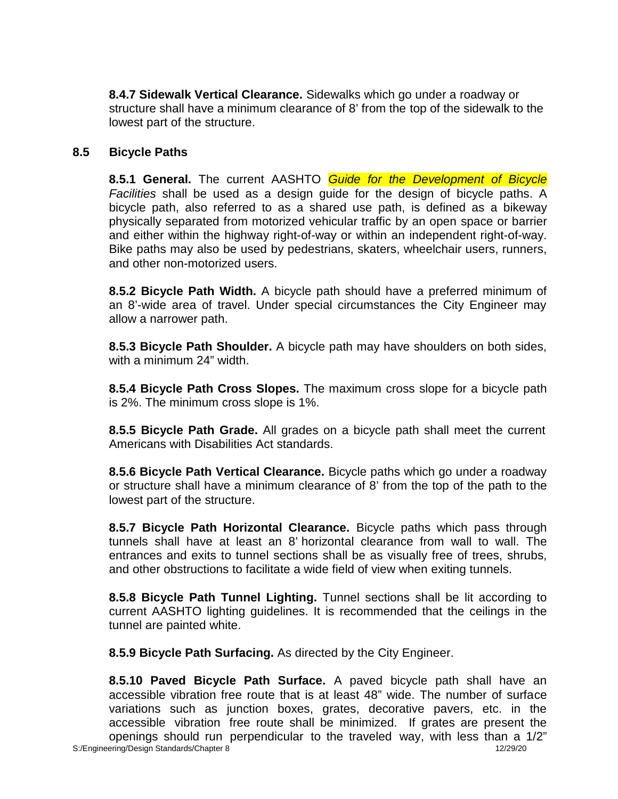**8.4.7 Sidewalk Vertical Clearance.** Sidewalks which go under a roadway or structure shall have a minimum clearance of 8' from the top of the sidewalk to the lowest part of the structure.

### **8.5 Bicycle Paths**

**8.5.1 General.** The current AASHTO *Guide for the Development of Bicycle Facilities* shall be used as a design guide for the design of bicycle paths. A bicycle path, also referred to as a shared use path, is defined as a bikeway physically separated from motorized vehicular traffic by an open space or barrier and either within the highway right-of-way or within an independent right-of-way. Bike paths may also be used by pedestrians, skaters, wheelchair users, runners, and other non-motorized users.

**8.5.2 Bicycle Path Width.** A bicycle path should have a preferred minimum of an 8'-wide area of travel. Under special circumstances the City Engineer may allow a narrower path.

**8.5.3 Bicycle Path Shoulder.** A bicycle path may have shoulders on both sides, with a minimum 24" width.

**8.5.4 Bicycle Path Cross Slopes.** The maximum cross slope for a bicycle path is 2%. The minimum cross slope is 1%.

**8.5.5 Bicycle Path Grade.** All grades on a bicycle path shall meet the current Americans with Disabilities Act standards.

**8.5.6 Bicycle Path Vertical Clearance.** Bicycle paths which go under a roadway or structure shall have a minimum clearance of  $8'$  from the top of the path to the lowest part of the structure.

**8.5.7 Bicycle Path Horizontal Clearance.** Bicycle paths which pass through tunnels shall have at least an 8' horizontal clearance from wall to wall. The entrances and exits to tunnel sections shall be as visually free of trees, shrubs, and other obstructions to facilitate a wide field of view when exiting tunnels.

**8.5.8 Bicycle Path Tunnel Lighting.** Tunnel sections shall be lit according to current AASHTO lighting guidelines. It is recommended that the ceilings in the tunnel are painted white.

**8.5.9 Bicycle Path Surfacing.** As directed by the City Engineer.

**8.5.10 Paved Bicycle Path Surface.** A paved bicycle path shall have an accessible vibration free route that is at least 48" wide. The number of surface variations such as junction boxes, grates, decorative pavers, etc. in the accessible vibration free route shall be minimized. If grates are present the openings should run perpendicular to the traveled way, with less than a 1/2"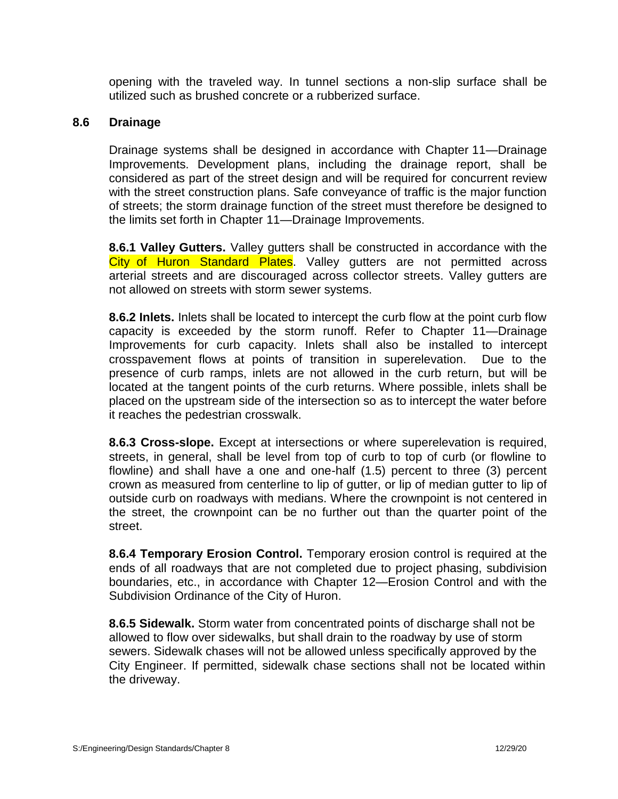opening with the traveled way. In tunnel sections a non-slip surface shall be utilized such as brushed concrete or a rubberized surface.

#### **8.6 Drainage**

Drainage systems shall be designed in accordance with Chapter 11—Drainage Improvements. Development plans, including the drainage report, shall be considered as part of the street design and will be required for concurrent review with the street construction plans. Safe conveyance of traffic is the major function of streets; the storm drainage function of the street must therefore be designed to the limits set forth in Chapter 11—Drainage Improvements.

**8.6.1 Valley Gutters.** Valley gutters shall be constructed in accordance with the City of Huron Standard Plates. Valley gutters are not permitted across arterial streets and are discouraged across collector streets. Valley gutters are not allowed on streets with storm sewer systems.

**8.6.2 Inlets.** Inlets shall be located to intercept the curb flow at the point curb flow capacity is exceeded by the storm runoff. Refer to Chapter 11—Drainage Improvements for curb capacity. Inlets shall also be installed to intercept crosspavement flows at points of transition in superelevation. Due to the presence of curb ramps, inlets are not allowed in the curb return, but will be located at the tangent points of the curb returns. Where possible, inlets shall be placed on the upstream side of the intersection so as to intercept the water before it reaches the pedestrian crosswalk.

**8.6.3 Cross-slope.** Except at intersections or where superelevation is required, streets, in general, shall be level from top of curb to top of curb (or flowline to flowline) and shall have a one and one-half (1.5) percent to three (3) percent crown as measured from centerline to lip of gutter, or lip of median gutter to lip of outside curb on roadways with medians. Where the crownpoint is not centered in the street, the crownpoint can be no further out than the quarter point of the street.

**8.6.4 Temporary Erosion Control.** Temporary erosion control is required at the ends of all roadways that are not completed due to project phasing, subdivision boundaries, etc., in accordance with Chapter 12—Erosion Control and with the Subdivision Ordinance of the City of Huron.

**8.6.5 Sidewalk.** Storm water from concentrated points of discharge shall not be allowed to flow over sidewalks, but shall drain to the roadway by use of storm sewers. Sidewalk chases will not be allowed unless specifically approved by the City Engineer. If permitted, sidewalk chase sections shall not be located within the driveway.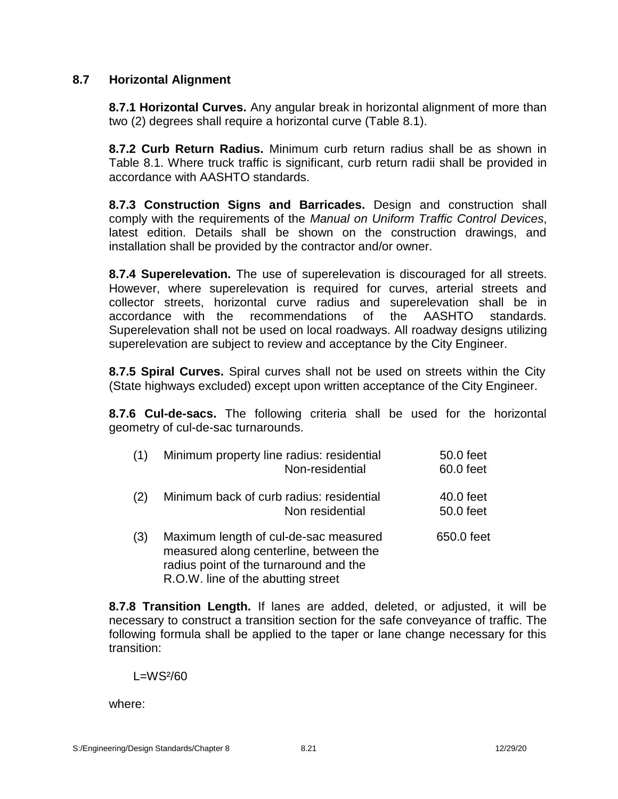# **8.7 Horizontal Alignment**

**8.7.1 Horizontal Curves.** Any angular break in horizontal alignment of more than two (2) degrees shall require a horizontal curve (Table 8.1).

**8.7.2 Curb Return Radius.** Minimum curb return radius shall be as shown in Table 8.1. Where truck traffic is significant, curb return radii shall be provided in accordance with AASHTO standards.

**8.7.3 Construction Signs and Barricades.** Design and construction shall comply with the requirements of the *Manual on Uniform Traffic Control Devices*, latest edition. Details shall be shown on the construction drawings, and installation shall be provided by the contractor and/or owner.

**8.7.4 Superelevation.** The use of superelevation is discouraged for all streets. However, where superelevation is required for curves, arterial streets and collector streets, horizontal curve radius and superelevation shall be in accordance with the recommendations of the AASHTO standards. Superelevation shall not be used on local roadways. All roadway designs utilizing superelevation are subject to review and acceptance by the City Engineer.

**8.7.5 Spiral Curves.** Spiral curves shall not be used on streets within the City (State highways excluded) except upon written acceptance of the City Engineer.

**8.7.6 Cul-de-sacs.** The following criteria shall be used for the horizontal geometry of cul-de-sac turnarounds.

| (1) | Minimum property line radius: residential<br>Non-residential                                                                                                    | 50.0 feet<br>60.0 feet |
|-----|-----------------------------------------------------------------------------------------------------------------------------------------------------------------|------------------------|
| (2) | Minimum back of curb radius: residential<br>Non residential                                                                                                     | 40.0 feet<br>50.0 feet |
| (3) | Maximum length of cul-de-sac measured<br>measured along centerline, between the<br>radius point of the turnaround and the<br>R.O.W. line of the abutting street | 650.0 feet             |

**8.7.8 Transition Length.** If lanes are added, deleted, or adjusted, it will be necessary to construct a transition section for the safe conveyance of traffic. The following formula shall be applied to the taper or lane change necessary for this transition:

 $L=WS<sup>2</sup>/60$ 

where: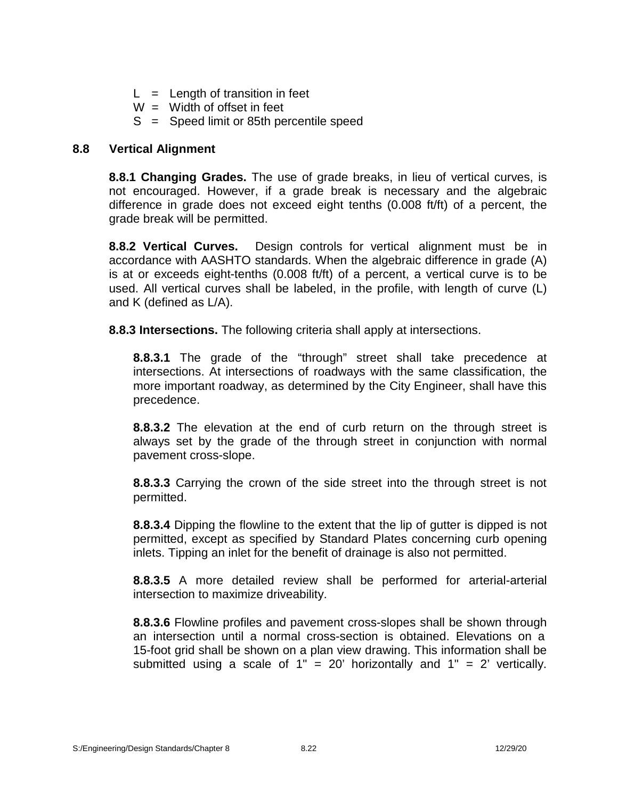- $L =$  Length of transition in feet
- $W =$  Width of offset in feet
- $S =$  Speed limit or 85th percentile speed

# **8.8 Vertical Alignment**

**8.8.1 Changing Grades.** The use of grade breaks, in lieu of vertical curves, is not encouraged. However, if a grade break is necessary and the algebraic difference in grade does not exceed eight tenths (0.008 ft/ft) of a percent, the grade break will be permitted.

**8.8.2 Vertical Curves.** Design controls for vertical alignment must be in accordance with AASHTO standards. When the algebraic difference in grade (A) is at or exceeds eight-tenths (0.008 ft/ft) of a percent, a vertical curve is to be used. All vertical curves shall be labeled, in the profile, with length of curve (L) and K (defined as L/A).

**8.8.3 Intersections.** The following criteria shall apply at intersections.

**8.8.3.1** The grade of the "through" street shall take precedence at intersections. At intersections of roadways with the same classification, the more important roadway, as determined by the City Engineer, shall have this precedence.

**8.8.3.2** The elevation at the end of curb return on the through street is always set by the grade of the through street in conjunction with normal pavement cross-slope.

**8.8.3.3** Carrying the crown of the side street into the through street is not permitted.

**8.8.3.4** Dipping the flowline to the extent that the lip of gutter is dipped is not permitted, except as specified by Standard Plates concerning curb opening inlets. Tipping an inlet for the benefit of drainage is also not permitted.

**8.8.3.5** A more detailed review shall be performed for arterial-arterial intersection to maximize driveability.

**8.8.3.6** Flowline profiles and pavement cross-slopes shall be shown through an intersection until a normal cross-section is obtained. Elevations on a 15-foot grid shall be shown on a plan view drawing. This information shall be submitted using a scale of  $1'' = 20'$  horizontally and  $1'' = 2'$  vertically.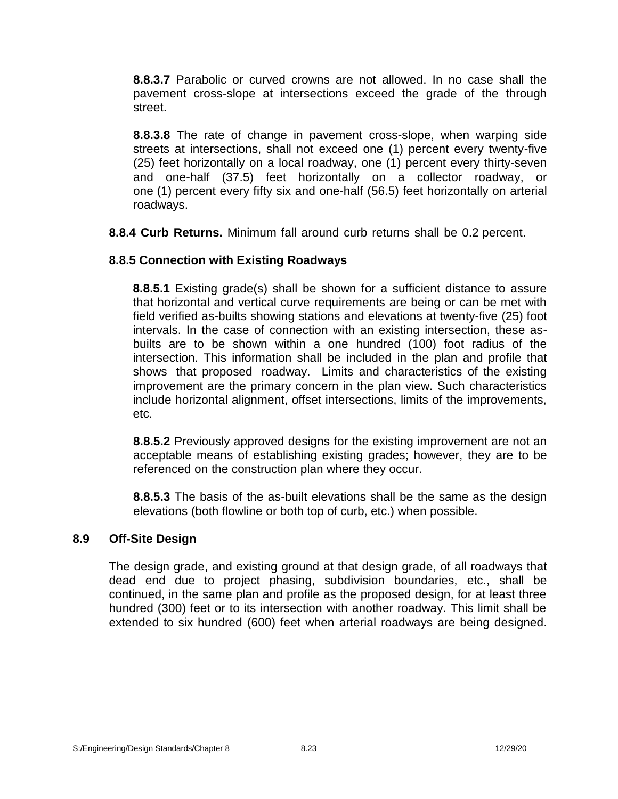**8.8.3.7** Parabolic or curved crowns are not allowed. In no case shall the pavement cross-slope at intersections exceed the grade of the through street.

**8.8.3.8** The rate of change in pavement cross-slope, when warping side streets at intersections, shall not exceed one (1) percent every twenty-five (25) feet horizontally on a local roadway, one (1) percent every thirty-seven and one-half (37.5) feet horizontally on a collector roadway, or one (1) percent every fifty six and one-half (56.5) feet horizontally on arterial roadways.

**8.8.4 Curb Returns.** Minimum fall around curb returns shall be 0.2 percent.

# **8.8.5 Connection with Existing Roadways**

**8.8.5.1** Existing grade(s) shall be shown for a sufficient distance to assure that horizontal and vertical curve requirements are being or can be met with field verified as-builts showing stations and elevations at twenty-five (25) foot intervals. In the case of connection with an existing intersection, these as builts are to be shown within a one hundred (100) foot radius of the intersection. This information shall be included in the plan and profile that shows that proposed roadway. Limits and characteristics of the existing improvement are the primary concern in the plan view. Such characteristics include horizontal alignment, offset intersections, limits of the improvements, etc.

**8.8.5.2** Previously approved designs for the existing improvement are not an acceptable means of establishing existing grades; however, they are to be referenced on the construction plan where they occur.

**8.8.5.3** The basis of the as-built elevations shall be the same as the design elevations (both flowline or both top of curb, etc.) when possible.

# **8.9 Off-Site Design**

The design grade, and existing ground at that design grade, of all roadways that dead end due to project phasing, subdivision boundaries, etc., shall be continued, in the same plan and profile as the proposed design, for at least three hundred (300) feet or to its intersection with another roadway. This limit shall be extended to six hundred (600) feet when arterial roadways are being designed.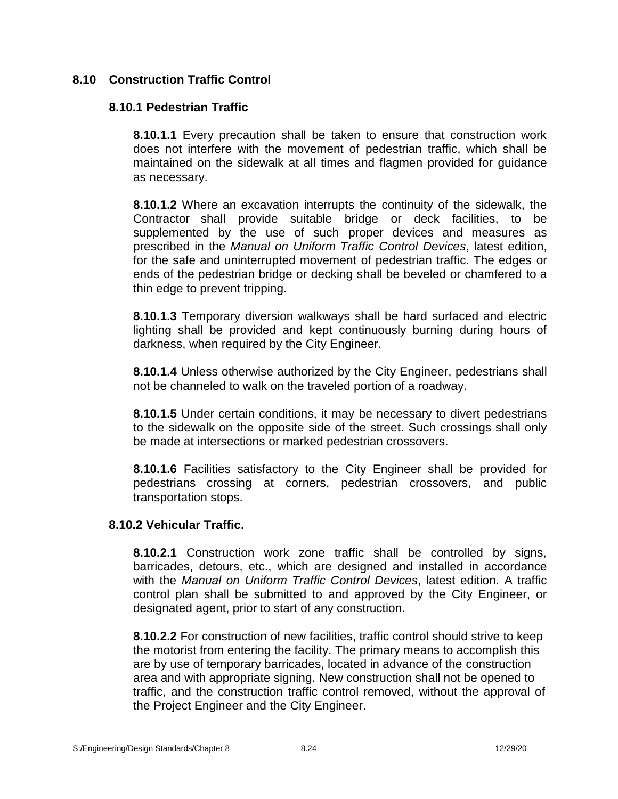# **8.10 Construction Traffic Control**

## **8.10.1 Pedestrian Traffic**

**8.10.1.1** Every precaution shall be taken to ensure that construction work does not interfere with the movement of pedestrian traffic, which shall be maintained on the sidewalk at all times and flagmen provided for guidance as necessary.

**8.10.1.2** Where an excavation interrupts the continuity of the sidewalk, the Contractor shall provide suitable bridge or deck facilities, to be supplemented by the use of such proper devices and measures as prescribed in the *Manual on Uniform Traffic Control Devices*, latest edition, for the safe and uninterrupted movement of pedestrian traffic. The edges or ends of the pedestrian bridge or decking shall be beveled or chamfered to a thin edge to prevent tripping.

**8.10.1.3** Temporary diversion walkways shall be hard surfaced and electric lighting shall be provided and kept continuously burning during hours of darkness, when required by the City Engineer.

**8.10.1.4** Unless otherwise authorized by the City Engineer, pedestrians shall not be channeled to walk on the traveled portion of a roadway.

**8.10.1.5** Under certain conditions, it may be necessary to divert pedestrians to the sidewalk on the opposite side of the street. Such crossings shall only be made at intersections or marked pedestrian crossovers.

**8.10.1.6** Facilities satisfactory to the City Engineer shall be provided for pedestrians crossing at corners, pedestrian crossovers, and public transportation stops.

# **8.10.2 Vehicular Traffic.**

**8.10.2.1** Construction work zone traffic shall be controlled by signs, barricades, detours, etc., which are designed and installed in accordance with the *Manual on Uniform Traffic Control Devices*, latest edition. A traffic control plan shall be submitted to and approved by the City Engineer, or designated agent, prior to start of any construction.

**8.10.2.2** For construction of new facilities, traffic control should strive to keep the motorist from entering the facility. The primary means to accomplish this are by use of temporary barricades, located in advance of the construction area and with appropriate signing. New construction shall not be opened to traffic, and the construction traffic control removed, without the approval of the Project Engineer and the City Engineer.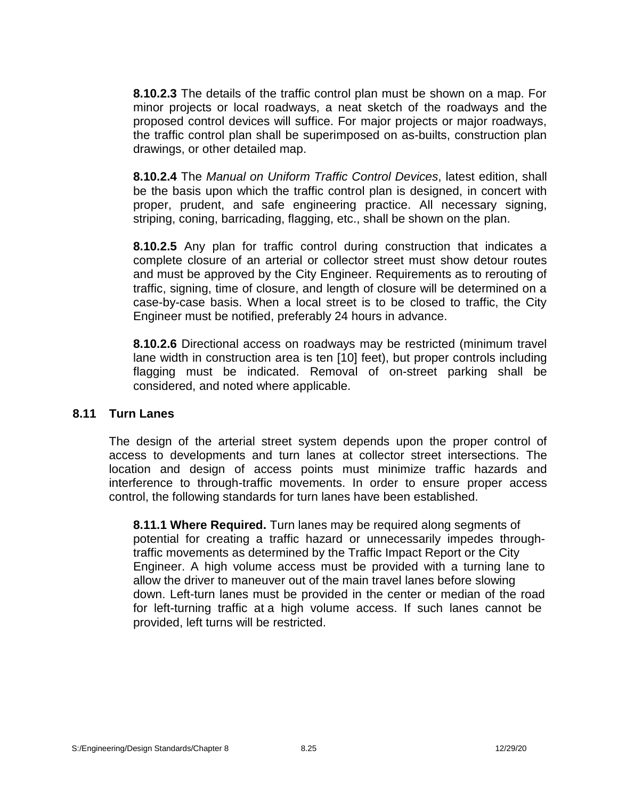**8.10.2.3** The details of the traffic control plan must be shown on a map. For minor projects or local roadways, a neat sketch of the roadways and the proposed control devices will suffice. For major projects or major roadways, the traffic control plan shall be superimposed on as-builts, construction plan drawings, or other detailed map.

**8.10.2.4** The *Manual on Uniform Traffic Control Devices*, latest edition, shall be the basis upon which the traffic control plan is designed, in concert with proper, prudent, and safe engineering practice. All necessary signing, striping, coning, barricading, flagging, etc., shall be shown on the plan.

**8.10.2.5** Any plan for traffic control during construction that indicates a complete closure of an arterial or collector street must show detour routes and must be approved by the City Engineer. Requirements as to rerouting of traffic, signing, time of closure, and length of closure will be determined on a case-by-case basis. When a local street is to be closed to traffic, the City Engineer must be notified, preferably 24 hours in advance.

**8.10.2.6** Directional access on roadways may be restricted (minimum travel lane width in construction area is ten  $[10]$  feet), but proper controls including flagging must be indicated. Removal of on-street parking shall be considered, and noted where applicable.

#### **8.11 Turn Lanes**

The design of the arterial street system depends upon the proper control of access to developments and turn lanes at collector street intersections. The location and design of access points must minimize traffic hazards and interference to through-traffic movements. In order to ensure proper access control, the following standards for turn lanes have been established.

**8.11.1 Where Required.** Turn lanes may be required along segments of potential for creating a traffic hazard or unnecessarily impedes throughtraffic movements as determined by the Traffic Impact Report or the City Engineer. A high volume access must be provided with a turning lane to allow the driver to maneuver out of the main travel lanes before slowing down. Left-turn lanes must be provided in the center or median of the road for left-turning traffic at a high volume access. If such lanes cannot be provided, left turns will be restricted.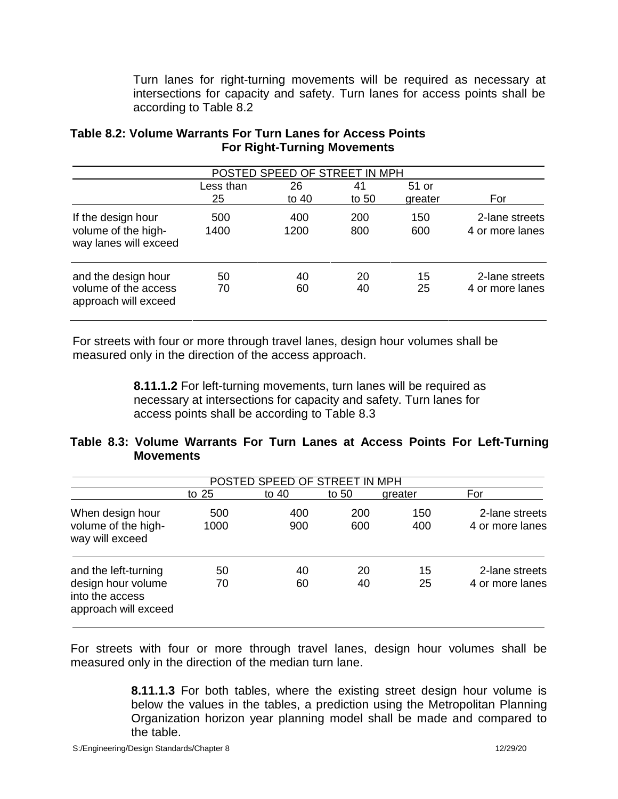Turn lanes for right-turning movements will be required as necessary at intersections for capacity and safety. Turn lanes for access points shall be according to Table 8.2

|                                                                     |                 | POSTED SPEED OF STREET IN MPH |               |                  |                                   |
|---------------------------------------------------------------------|-----------------|-------------------------------|---------------|------------------|-----------------------------------|
|                                                                     | Less than<br>25 | 26<br>to 40                   | 41<br>to $50$ | 51 or<br>greater | For                               |
| If the design hour<br>volume of the high-<br>way lanes will exceed  | 500<br>1400     | 400<br>1200                   | 200<br>800    | 150<br>600       | 2-lane streets<br>4 or more lanes |
| and the design hour<br>volume of the access<br>approach will exceed | 50<br>70        | 40<br>60                      | 20<br>40      | 15<br>25         | 2-lane streets<br>4 or more lanes |

# **Table 8.2: Volume Warrants For Turn Lanes for Access Points For Right-Turning Movements**

For streets with four or more through travel lanes, design hour volumes shall be measured only in the direction of the access approach.

> **8.11.1.2** For left-turning movements, turn lanes will be required as necessary at intersections for capacity and safety. Turn lanes for access points shall be according to Table 8.3

# **Table 8.3: Volume Warrants For Turn Lanes at Access Points For Left-Turning Movements**

|                                                               |         | POSTED SPEED OF STREET IN MPH |       |         |                 |
|---------------------------------------------------------------|---------|-------------------------------|-------|---------|-----------------|
|                                                               | to $25$ | to 40                         | to 50 | greater | For             |
| When design hour                                              | 500     | 400                           | 200   | 150     | 2-lane streets  |
| volume of the high-<br>way will exceed                        | 1000    | 900                           | 600   | 400     | 4 or more lanes |
| and the left-turning                                          | 50      | 40                            | 20    | 15      | 2-lane streets  |
| design hour volume<br>into the access<br>approach will exceed | 70      | 60                            | 40    | 25      | 4 or more lanes |

For streets with four or more through travel lanes, design hour volumes shall be measured only in the direction of the median turn lane.

> **8.11.1.3** For both tables, where the existing street design hour volume is below the values in the tables, a prediction using the Metropolitan Planning Organization horizon year planning model shall be made and compared to the table.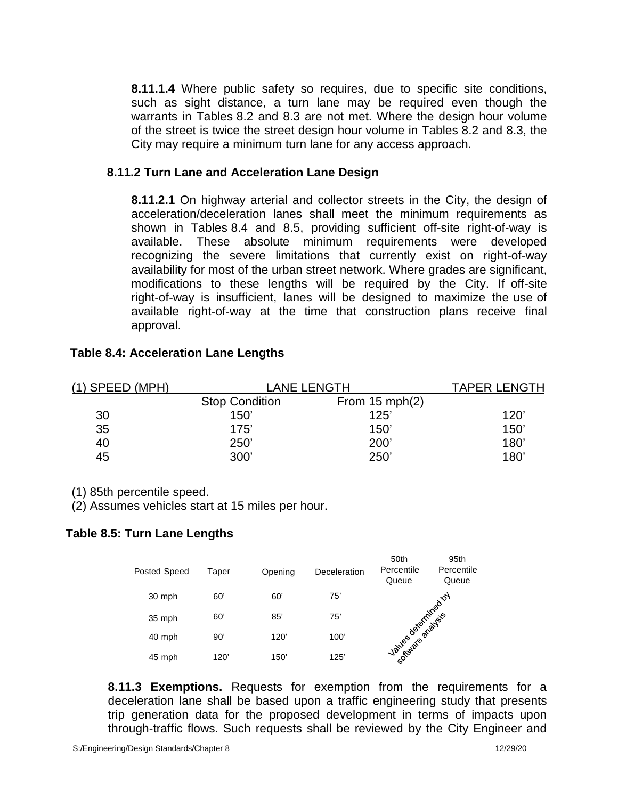**8.11.1.4** Where public safety so requires, due to specific site conditions, such as sight distance, a turn lane may be required even though the warrants in Tables 8.2 and 8.3 are not met. Where the design hour volume of the street is twice the street design hour volume in Tables 8.2 and 8.3, the City may require a minimum turn lane for any access approach.

## **8.11.2 Turn Lane and Acceleration Lane Design**

**8.11.2.1** On highway arterial and collector streets in the City, the design of acceleration/deceleration lanes shall meet the minimum requirements as shown in Tables 8.4 and 8.5, providing sufficient off-site right-of-way is available. These absolute minimum requirements were developed recognizing the severe limitations that currently exist on right-of-way availability for most of the urban street network. Where grades are significant, modifications to these lengths will be required by the City. If off-site right-of-way is insufficient, lanes will be designed to maximize the use of available right-of-way at the time that construction plans receive final approval.

| $(1)$ SPEED (MPH) |                       | LANE LENGTH              | <b>TAPER LENGTH</b> |
|-------------------|-----------------------|--------------------------|---------------------|
|                   | <b>Stop Condition</b> | From $15 \text{ mph}(2)$ |                     |
| 30                | 150'                  | 125'                     | 120'                |
| 35                | 175'                  | 150'                     | 150'                |
| 40                | 250'                  | 200'                     | 180'                |
| 45                | 300'                  | 250'                     | 180'                |

#### **Table 8.4: Acceleration Lane Lengths**

(1) 85th percentile speed.

(2) Assumes vehicles start at 15 miles per hour.

# **Table 8.5: Turn Lane Lengths**



**8.11.3 Exemptions.** Requests for exemption from the requirements for a deceleration lane shall be based upon a traffic engineering study that presents trip generation data for the proposed development in terms of impacts upon through-traffic flows. Such requests shall be reviewed by the City Engineer and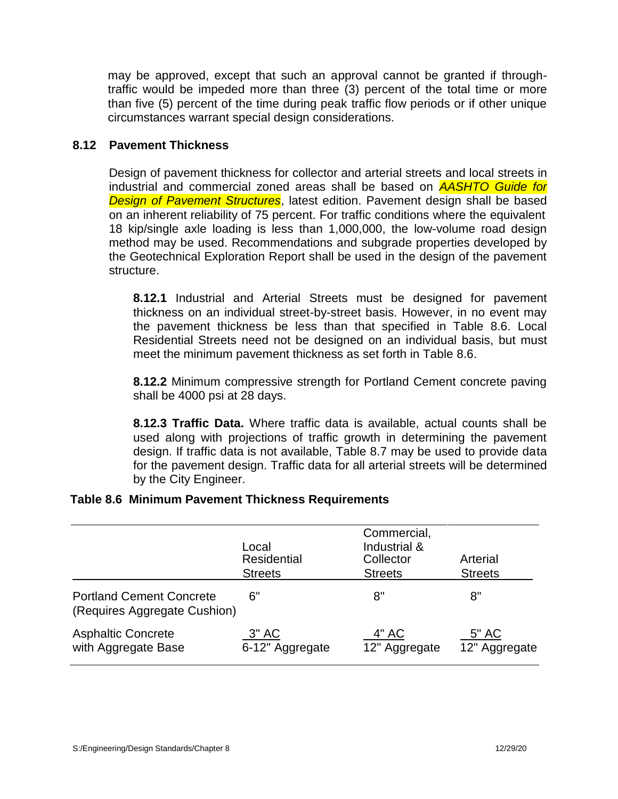may be approved, except that such an approval cannot be granted if throughtraffic would be impeded more than three (3) percent of the total time or more than five (5) percent of the time during peak traffic flow periods or if other unique circumstances warrant special design considerations.

### **8.12 Pavement Thickness**

Design of pavement thickness for collector and arterial streets and local streets in industrial and commercial zoned areas shall be based on *AASHTO Guide for Design of Pavement Structures*, latest edition. Pavement design shall be based on an inherent reliability of 75 percent. For traffic conditions where the equivalent 18 kip/single axle loading is less than 1,000,000, the low-volume road design method may be used. Recommendations and subgrade properties developed by the Geotechnical Exploration Report shall be used in the design of the pavement structure.

**8.12.1** Industrial and Arterial Streets must be designed for pavement thickness on an individual street-by-street basis. However, in no event may the pavement thickness be less than that specified in Table 8.6. Local Residential Streets need not be designed on an individual basis, but must meet the minimum pavement thickness as set forth in Table 8.6.

**8.12.2** Minimum compressive strength for Portland Cement concrete paving shall be 4000 psi at 28 days.

**8.12.3 Traffic Data.** Where traffic data is available, actual counts shall be used along with projections of traffic growth in determining the pavement design. If traffic data is not available, Table 8.7 may be used to provide data for the pavement design. Traffic data for all arterial streets will be determined by the City Engineer.

# **Table 8.6 Minimum Pavement Thickness Requirements**

|                                                                 | Local<br><b>Residential</b><br><b>Streets</b> | Commercial,<br>Industrial &<br>Collector<br><b>Streets</b> | Arterial<br><b>Streets</b> |
|-----------------------------------------------------------------|-----------------------------------------------|------------------------------------------------------------|----------------------------|
| <b>Portland Cement Concrete</b><br>(Requires Aggregate Cushion) | 6"                                            | 8"                                                         | 8"                         |
| <b>Asphaltic Concrete</b><br>with Aggregate Base                | $3"$ AC<br>6-12" Aggregate                    | 4" AC<br>12" Aggregate                                     | 5" AC<br>12" Aggregate     |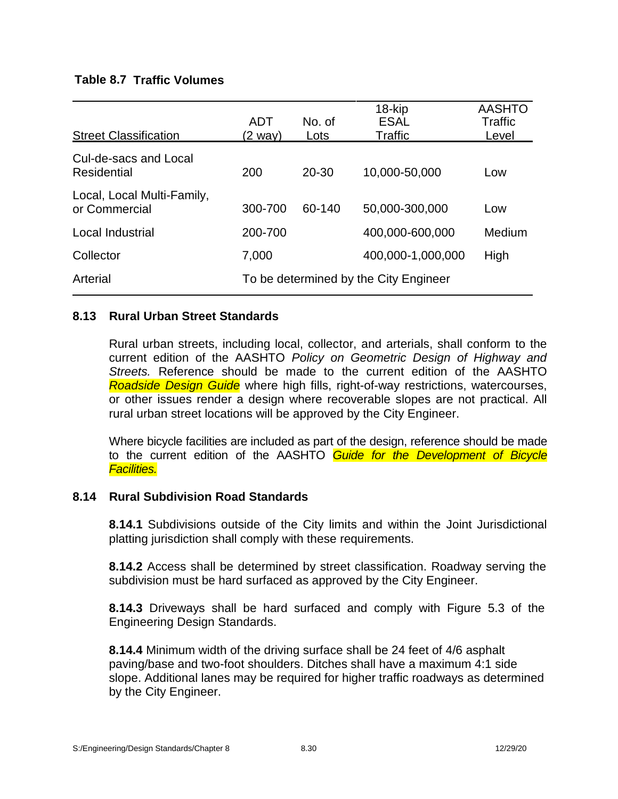## **Table 8.7 Traffic Volumes**

| <b>Street Classification</b>                | <b>ADT</b><br>(2 way) | No. of<br>Lots | 18-kip<br><b>ESAL</b><br>Traffic      | <b>AASHTO</b><br>Traffic<br>Level |
|---------------------------------------------|-----------------------|----------------|---------------------------------------|-----------------------------------|
| Cul-de-sacs and Local<br>Residential        | 200                   | $20 - 30$      | 10,000-50,000                         | Low                               |
| Local, Local Multi-Family,<br>or Commercial | 300-700               | 60-140         | 50,000-300,000                        | Low                               |
| Local Industrial                            | 200-700               |                | 400,000-600,000                       | Medium                            |
| Collector                                   | 7,000                 |                | 400,000-1,000,000                     | High                              |
| Arterial                                    |                       |                | To be determined by the City Engineer |                                   |

### **8.13 Rural Urban Street Standards**

Rural urban streets, including local, collector, and arterials, shall conform to the current edition of the AASHTO *Policy on Geometric Design of Highway and Streets.* Reference should be made to the current edition of the AASHTO *Roadside Design Guide* where high fills, right-of-way restrictions, watercourses, or other issues render a design where recoverable slopes are not practical. All rural urban street locations will be approved by the City Engineer.

Where bicycle facilities are included as part of the design, reference should be made to the current edition of the AASHTO *Guide for the Development of Bicycle Facilities.*

#### **8.14 Rural Subdivision Road Standards**

**8.14.1** Subdivisions outside of the City limits and within the Joint Jurisdictional platting jurisdiction shall comply with these requirements.

**8.14.2** Access shall be determined by street classification. Roadway serving the subdivision must be hard surfaced as approved by the City Engineer.

**8.14.3** Driveways shall be hard surfaced and comply with Figure 5.3 of the Engineering Design Standards.

**8.14.4** Minimum width of the driving surface shall be 24 feet of 4/6 asphalt paving/base and two-foot shoulders. Ditches shall have a maximum 4:1 side slope. Additional lanes may be required for higher traffic roadways as determined by the City Engineer.